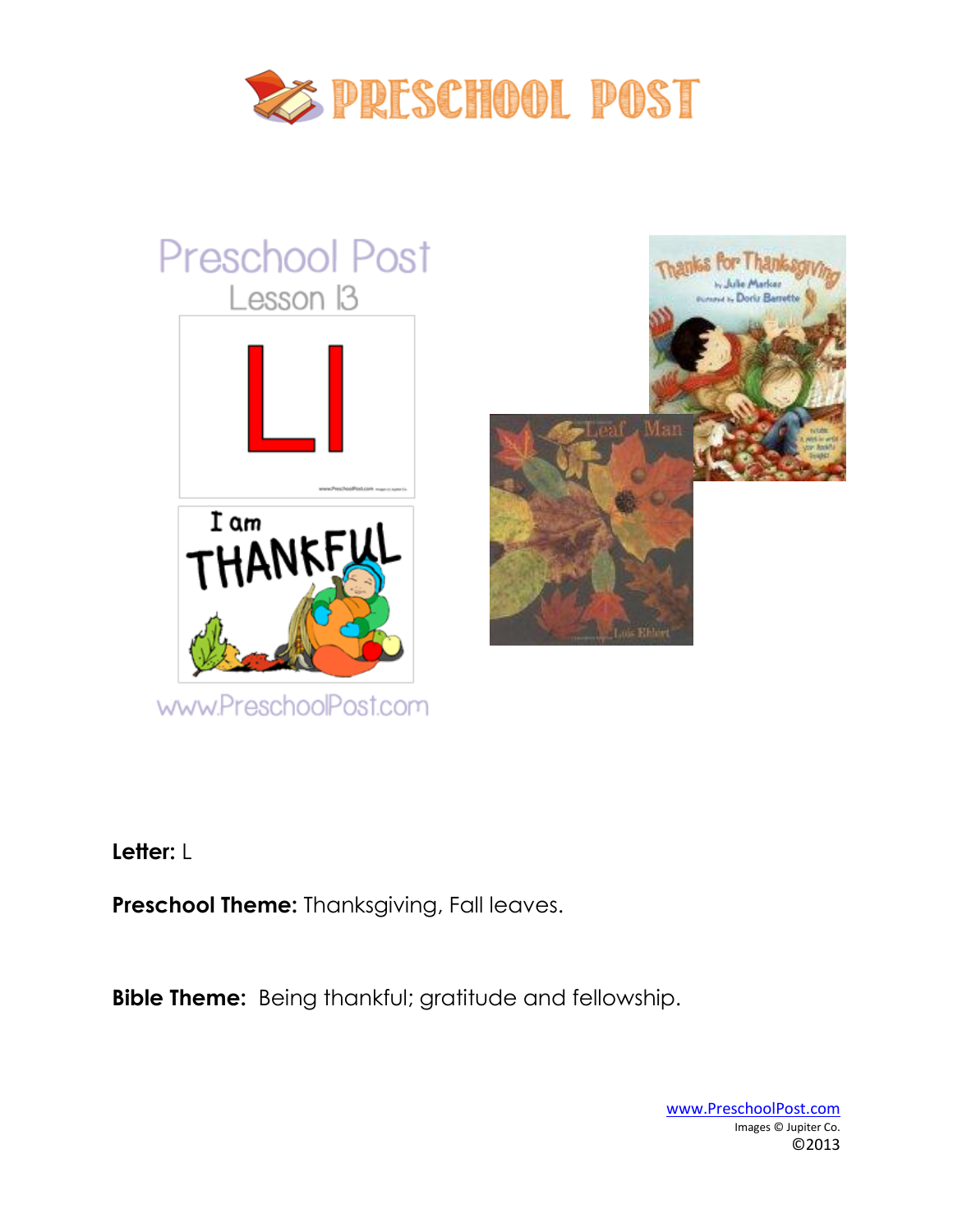

# **Preschool Post** Lesson 13



www.PreschoolPost.com



**Letter:** L

**Preschool Theme:** Thanksgiving, Fall leaves.

**Bible Theme:** Being thankful; gratitude and fellowship.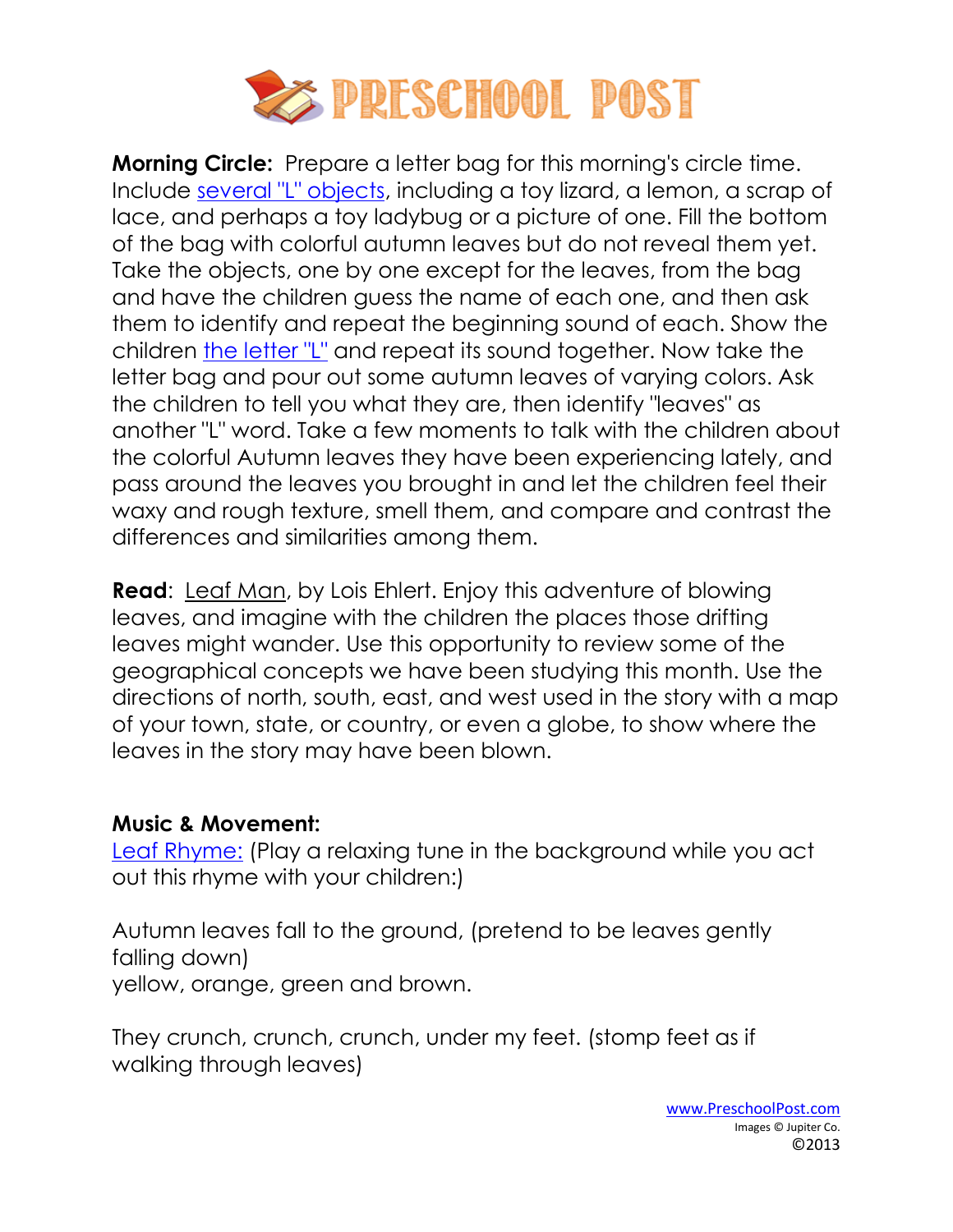

**Morning Circle:** Prepare a letter bag for this morning's circle time. Include [several "L" objects,](http://www.preschoolpost.com/NovemberThanksgiving.html) including a toy lizard, a lemon, a scrap of lace, and perhaps a toy ladybug or a picture of one. Fill the bottom of the bag with colorful autumn leaves but do not reveal them yet. Take the objects, one by one except for the leaves, from the bag and have the children guess the name of each one, and then ask them to identify and repeat the beginning sound of each. Show the children [the letter "L"](http://www.preschoolpost.com/NovemberThanksgiving.html) and repeat its sound together. Now take the letter bag and pour out some autumn leaves of varying colors. Ask the children to tell you what they are, then identify "leaves" as another "L" word. Take a few moments to talk with the children about the colorful Autumn leaves they have been experiencing lately, and pass around the leaves you brought in and let the children feel their waxy and rough texture, smell them, and compare and contrast the differences and similarities among them.

**Read**: [Leaf Man, by Lois Ehlert.](http://www.amazon.com/gp/product/0152053042/ref=as_li_ss_il?ie=UTF8&camp=1789&creative=390957&creativeASIN=0152053042&linkCode=as2&tag=christpreschp-20) Enjoy this adventure of blowing leaves, and imagine with the children the places those drifting leaves might wander. Use this opportunity to review some of the geographical concepts we have been studying this month. Use the directions of north, south, east, and west used in the story with a map of your town, state, or country, or even a globe, to show where the leaves in the story may have been blown.

#### **Music & Movement:**

[Leaf Rhyme:](http://www.preschoolpost.com/NovemberThanksgiving.html) (Play a relaxing tune in the background while you act out this rhyme with your children:)

Autumn leaves fall to the ground, (pretend to be leaves gently falling down) yellow, orange, green and brown.

They crunch, crunch, crunch, under my feet. (stomp feet as if walking through leaves)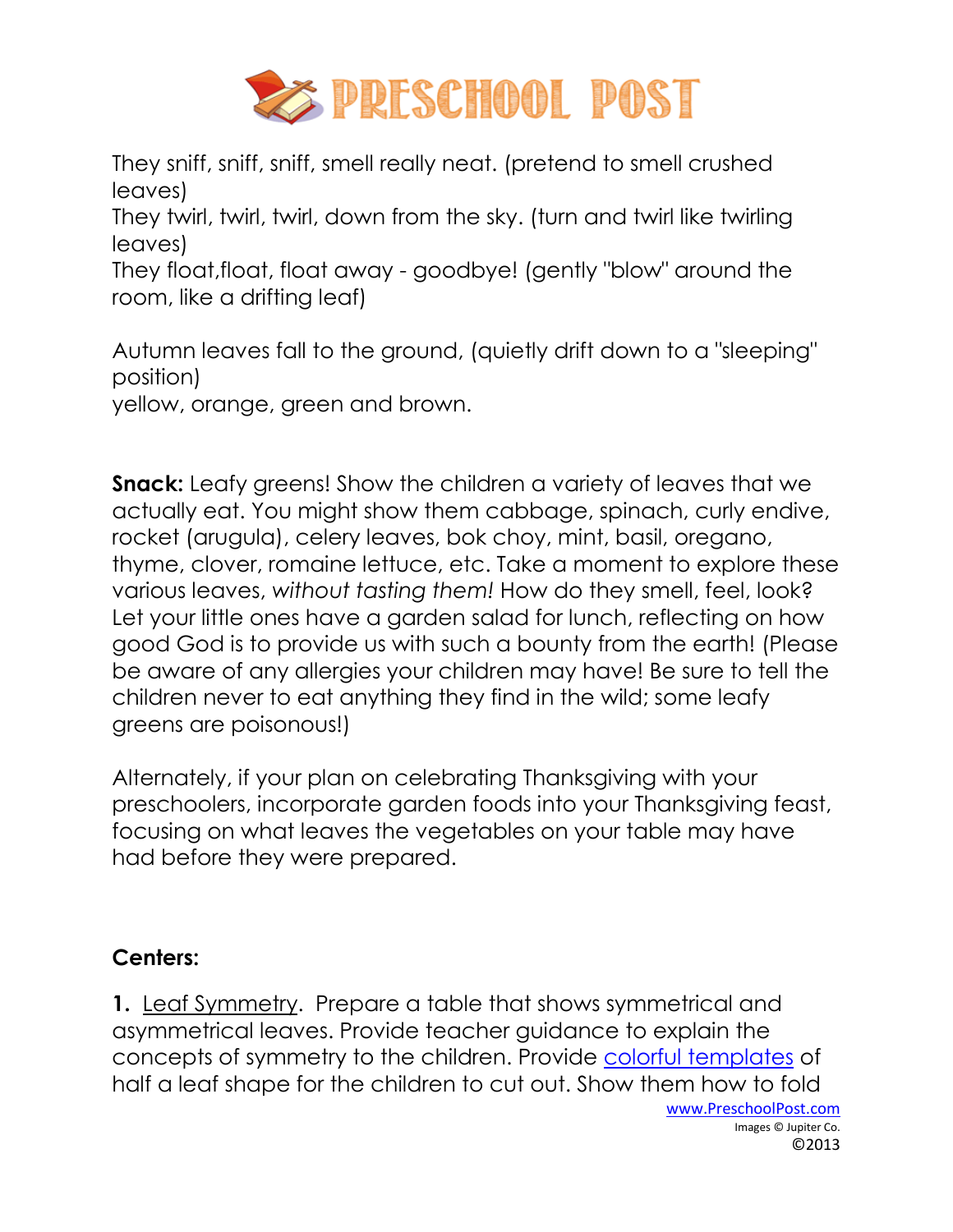

They sniff, sniff, sniff, smell really neat. (pretend to smell crushed leaves)

They twirl, twirl, twirl, down from the sky. (turn and twirl like twirling leaves)

They float,float, float away - goodbye! (gently "blow" around the room, like a drifting leaf)

Autumn leaves fall to the ground, (quietly drift down to a "sleeping" position)

yellow, orange, green and brown.

**Snack:** Leafy greens! Show the children a variety of leaves that we actually eat. You might show them cabbage, spinach, curly endive, rocket (arugula), celery leaves, bok choy, mint, basil, oregano, thyme, clover, romaine lettuce, etc. Take a moment to explore these various leaves, *without tasting them!* How do they smell, feel, look? Let your little ones have a garden salad for lunch, reflecting on how good God is to provide us with such a bounty from the earth! (Please be aware of any allergies your children may have! Be sure to tell the children never to eat anything they find in the wild; some leafy greens are poisonous!)

Alternately, if your plan on celebrating Thanksgiving with your preschoolers, incorporate garden foods into your Thanksgiving feast, focusing on what leaves the vegetables on your table may have had before they were prepared.

## **Centers:**

**1.** Leaf Symmetry. Prepare a table that shows symmetrical and asymmetrical leaves. Provide teacher guidance to explain the concepts of symmetry to the children. Provide [colorful templates](http://www.preschoolpost.com/NovemberThanksgiving.html) of half a leaf shape for the children to cut out. Show them how to fold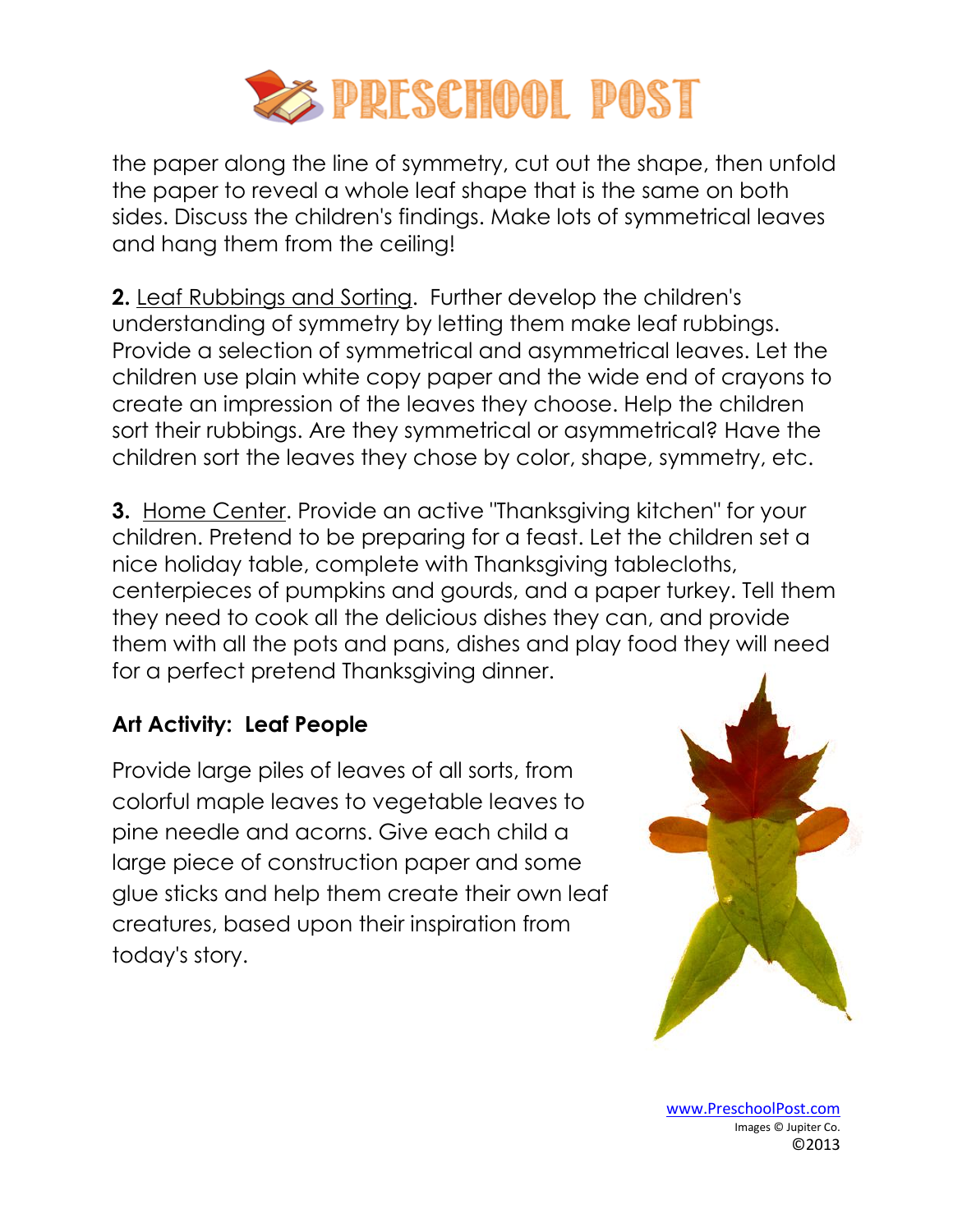

the paper along the line of symmetry, cut out the shape, then unfold the paper to reveal a whole leaf shape that is the same on both sides. Discuss the children's findings. Make lots of symmetrical leaves and hang them from the ceiling!

**2.** Leaf Rubbings and Sorting. Further develop the children's understanding of symmetry by letting them make leaf rubbings. Provide a selection of symmetrical and asymmetrical leaves. Let the children use plain white copy paper and the wide end of crayons to create an impression of the leaves they choose. Help the children sort their rubbings. Are they symmetrical or asymmetrical? Have the children sort the leaves they chose by color, shape, symmetry, etc.

**3.** Home Center. Provide an active "Thanksgiving kitchen" for your children. Pretend to be preparing for a feast. Let the children set a nice holiday table, complete with Thanksgiving tablecloths, centerpieces of pumpkins and gourds, and a paper turkey. Tell them they need to cook all the delicious dishes they can, and provide them with all the pots and pans, dishes and play food they will need for a perfect pretend Thanksgiving dinner.

## **Art Activity: Leaf People**

Provide large piles of leaves of all sorts, from colorful maple leaves to vegetable leaves to pine needle and acorns. Give each child a large piece of construction paper and some glue sticks and help them create their own leaf creatures, based upon their inspiration from today's story.



www.PreschoolPost.com Images © Jupiter Co. ©2013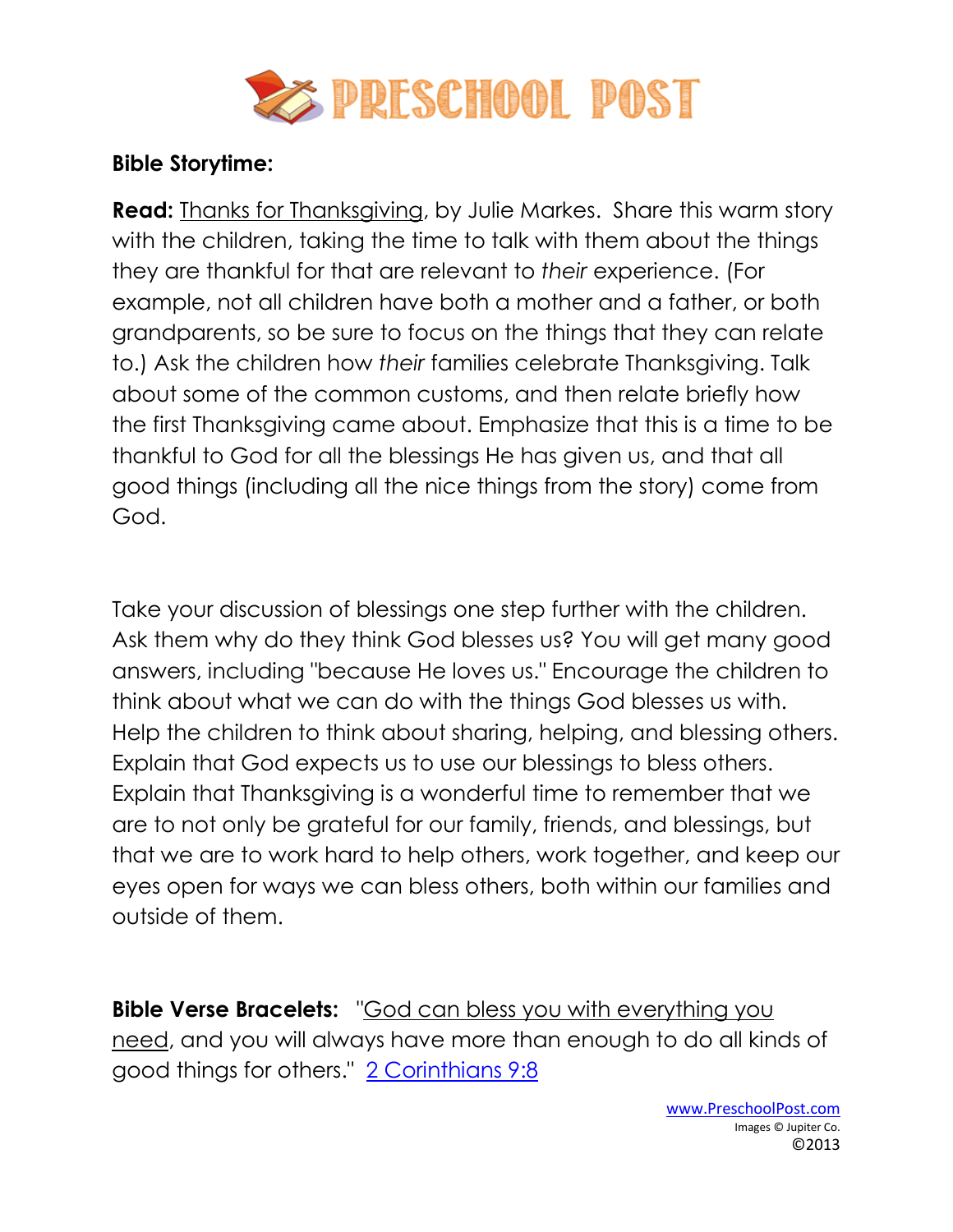

## **Bible Storytime:**

**Read:** [Thanks for Thanksgiving, by Julie Markes.](http://www.amazon.com/gp/product/0060510986/ref=as_li_ss_il?ie=UTF8&camp=1789&creative=390957&creativeASIN=0060510986&linkCode=as2&tag=christpreschp-20) Share this warm story with the children, taking the time to talk with them about the things they are thankful for that are relevant to *their* experience. (For example, not all children have both a mother and a father, or both grandparents, so be sure to focus on the things that they can relate to.) Ask the children how *their* families celebrate Thanksgiving. Talk about some of the common customs, and then relate briefly how the first Thanksgiving came about. Emphasize that this is a time to be thankful to God for all the blessings He has given us, and that all good things (including all the nice things from the story) come from God.

Take your discussion of blessings one step further with the children. Ask them why do they think God blesses us? You will get many good answers, including "because He loves us." Encourage the children to think about what we can do with the things God blesses us with. Help the children to think about sharing, helping, and blessing others. Explain that God expects us to use our blessings to bless others. Explain that Thanksgiving is a wonderful time to remember that we are to not only be grateful for our family, friends, and blessings, but that we are to work hard to help others, work together, and keep our eyes open for ways we can bless others, both within our families and outside of them.

**Bible Verse Bracelets:** "God can bless you with everything you need, and you will always have more than enough to do all kinds of good things for others." [2 Corinthians 9:8](http://www.preschoolpost.com/NovemberThanksgiving.html)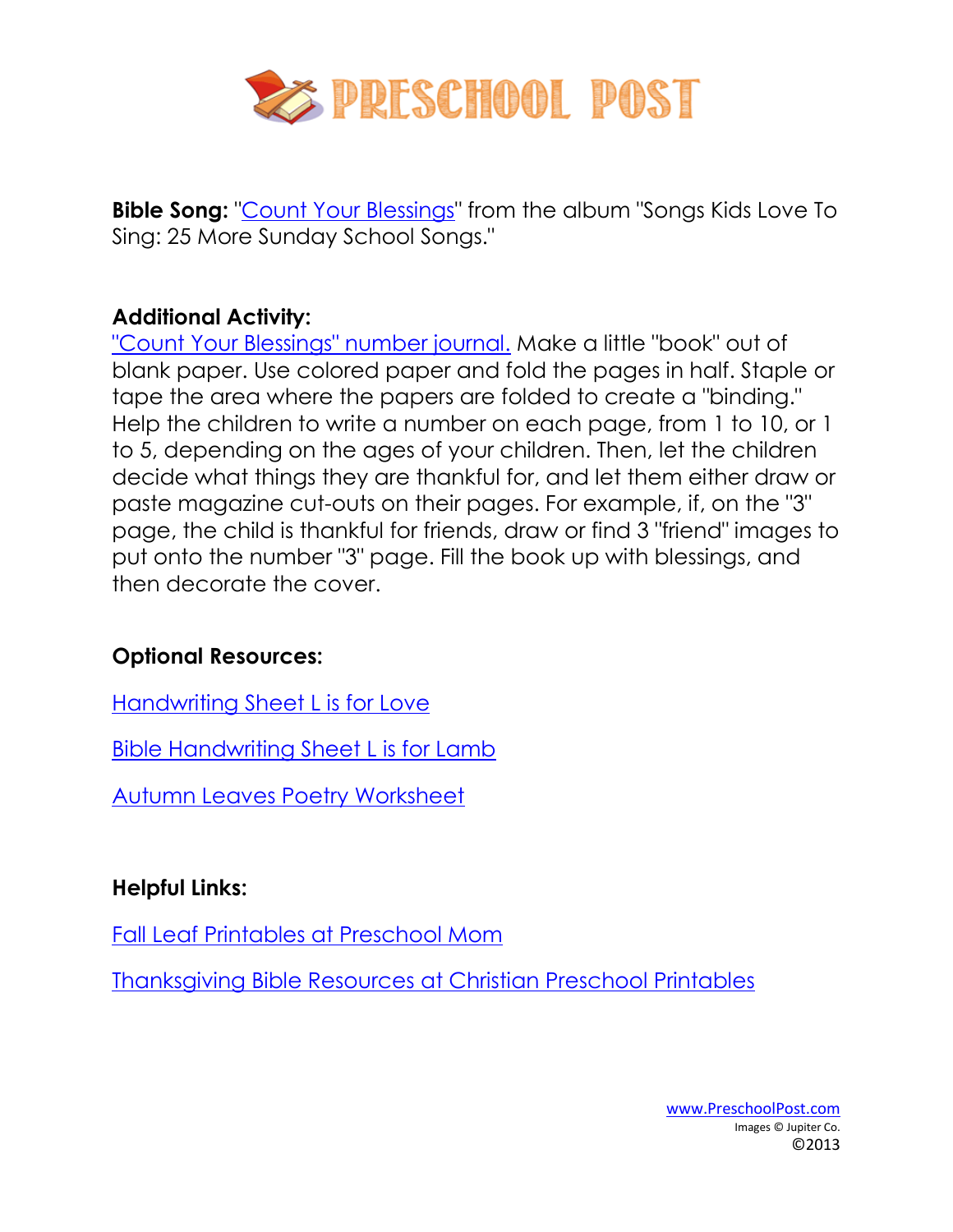

**Bible Song:** ["Count Your Blessings"](http://www.amazon.com/gp/product/B000WEEMR6/ref=as_li_ss_il?ie=UTF8&camp=1789&creative=390957&creativeASIN=B000WEEMR6&linkCode=as2&tag=christpreschp-20) from the album "Songs Kids Love To Sing: 25 More Sunday School Songs."

## **Additional Activity:**

["Count Your Blessings" number journal.](http://www.preschoolpost.com/NovemberThanksgiving.html) Make a little "book" out of blank paper. Use colored paper and fold the pages in half. Staple or tape the area where the papers are folded to create a "binding." Help the children to write a number on each page, from 1 to 10, or 1 to 5, depending on the ages of your children. Then, let the children decide what things they are thankful for, and let them either draw or paste magazine cut-outs on their pages. For example, if, on the "3" page, the child is thankful for friends, draw or find 3 "friend" images to put onto the number "3" page. Fill the book up with blessings, and then decorate the cover.

## **Optional Resources:**

[Handwriting Sheet L is for Love](http://www.preschoolpost.com/NovemberThanksgiving.html)

[Bible Handwriting Sheet L is for Lamb](http://www.preschoolpost.com/NovemberThanksgiving.html)

**[Autumn Leaves Poetry Worksheet](http://www.preschoolpost.com/NovemberThanksgiving.html)** 

## **Helpful Links:**

[Fall Leaf Printables at Preschool Mom](preschoolmom.com/Themes/FallLeaf.html)

Thanksgiving Bible Resources [at Christian Preschool Printables](http://www.christianpreschoolprintables.com/Thanksgiving.html)